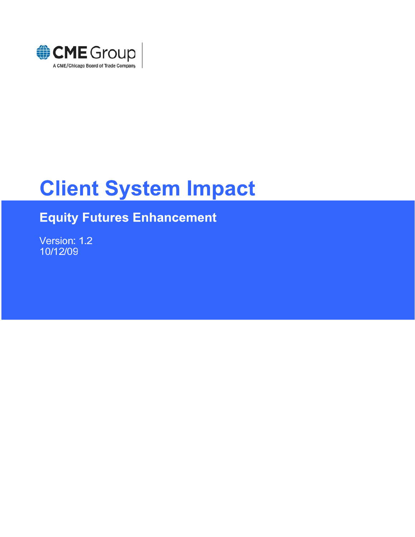

# **Client System Impact**

## **Equity Futures Enhancement**

Version: 1.2 10/12/09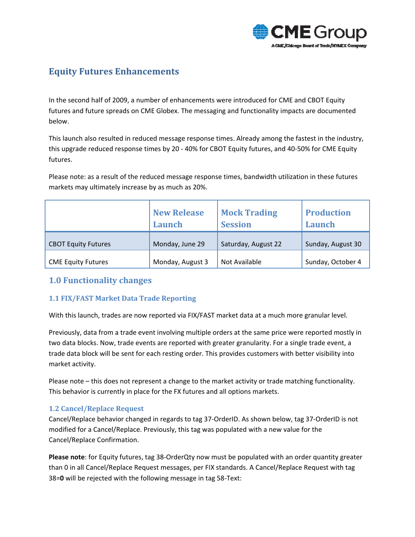

## **Equity Futures Enhancements**

In the second half of 2009, a number of enhancements were introduced for CME and CBOT Equity futures and future spreads on CME Globex. The messaging and functionality impacts are documented below.

This launch also resulted in reduced message response times. Already among the fastest in the industry, this upgrade reduced response times by 20 ‐ 40% for CBOT Equity futures, and 40‐50% for CME Equity futures.

Please note: as a result of the reduced message response times, bandwidth utilization in these futures markets may ultimately increase by as much as 20%.

|                            | <b>New Release</b><br>Launch | <b>Mock Trading</b><br><b>Session</b> | <b>Production</b><br>Launch |
|----------------------------|------------------------------|---------------------------------------|-----------------------------|
| <b>CBOT Equity Futures</b> | Monday, June 29              | Saturday, August 22                   | Sunday, August 30           |
| <b>CME Equity Futures</b>  | Monday, August 3             | Not Available                         | Sunday, October 4           |

## **1.0 Functionality changes**

#### **1.1 FIX/FAST Market Data Trade Reporting**

With this launch, trades are now reported via FIX/FAST market data at a much more granular level.

Previously, data from a trade event involving multiple orders at the same price were reported mostly in two data blocks. Now, trade events are reported with greater granularity. For a single trade event, a trade data block will be sent for each resting order. This provides customers with better visibility into market activity.

Please note – this does not represent a change to the market activity or trade matching functionality. This behavior is currently in place for the FX futures and all options markets.

#### **1.2 Cancel/Replace Request**

Cancel/Replace behavior changed in regards to tag 37‐OrderID. As shown below, tag 37‐OrderID is not modified for a Cancel/Replace. Previously, this tag was populated with a new value for the Cancel/Replace Confirmation.

**Please note**: for Equity futures, tag 38‐OrderQty now must be populated with an order quantity greater than 0 in all Cancel/Replace Request messages, per FIX standards. A Cancel/Replace Request with tag 38=**0** will be rejected with the following message in tag 58‐Text: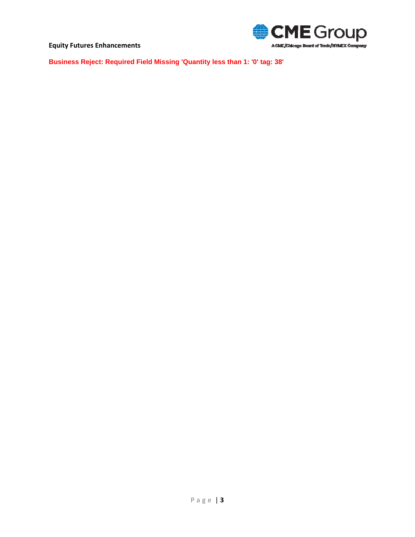

**Business Reject: Required Field Missing 'Quantity less than 1: '0' tag: 38'**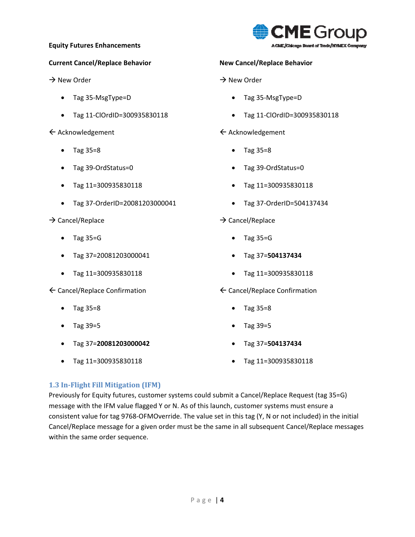#### **Current Cancel/Replace Behavior**

 $\rightarrow$  New Order

- Tag 35‐MsgType=D
- Tag 11‐ClOrdID=300935830118

 $\leftarrow$  Acknowledgement

- Tag 35=8
- Tag 39‐OrdStatus=0
- Tag 11=300935830118
- Tag 37‐OrderID=20081203000041

#### $\rightarrow$  Cancel/Replace

- Tag 35=G
- Tag 37=20081203000041
- Tag 11=300935830118
- $\leftarrow$  Cancel/Replace Confirmation
	- Tag 35=8
	- Tag 39=5
	- Tag 37=**20081203000042**
	- Tag 11=300935830118



#### **New Cancel/Replace Behavior**

#### $\rightarrow$  New Order

- Tag 35‐MsgType=D
- Tag 11‐ClOrdID=300935830118

#### $\leftarrow$  Acknowledgement

- Tag 35=8
- Tag 39‐OrdStatus=0
- Tag 11=300935830118
- Tag 37‐OrderID=504137434
- $\rightarrow$  Cancel/Replace
	- Tag 35=G
	- Tag 37=**504137434**
	- Tag 11=300935830118

#### $\leftarrow$  Cancel/Replace Confirmation

- Tag 35=8
- Tag 39=5
- Tag 37=**504137434**
- Tag 11=300935830118

#### **1.3 InFlight Fill Mitigation (IFM)**

Previously for Equity futures, customer systems could submit a Cancel/Replace Request (tag 35=G) message with the IFM value flagged Y or N. As of this launch, customer systems must ensure a consistent value for tag 9768‐OFMOverride. The value set in this tag (Y, N or not included) in the initial Cancel/Replace message for a given order must be the same in all subsequent Cancel/Replace messages within the same order sequence.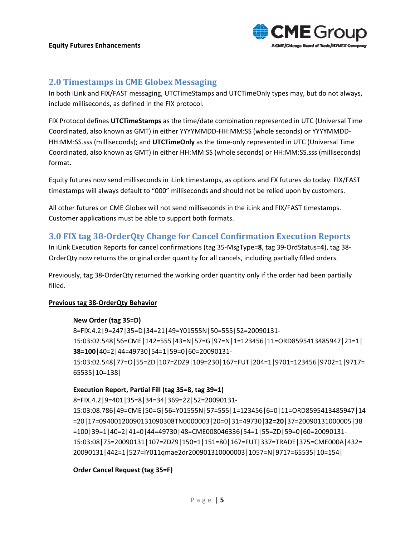

#### **2.0 Timestamps in CME Globex Messaging**

In both iLink and FIX/FAST messaging, UTCTimeStamps and UTCTimeOnly types may, but do not always, include milliseconds, as defined in the FIX protocol.

FIX Protocol defines **UTCTimeStamps** as the time/date combination represented in UTC (Universal Time Coordinated, also known as GMT) in either YYYYMMDD‐HH:MM:SS (whole seconds) or YYYYMMDD‐ HH:MM:SS.sss (milliseconds); and **UTCTimeOnly** as the time-only represented in UTC (Universal Time Coordinated, also known as GMT) in either HH:MM:SS (whole seconds) or HH:MM:SS.sss (milliseconds) format.

Equity futures now send milliseconds in iLink timestamps, as options and FX futures do today. FIX/FAST timestamps will always default to "000" milliseconds and should not be relied upon by customers.

All other futures on CME Globex will not send milliseconds in the iLink and FIX/FAST timestamps. Customer applications must be able to support both formats.

#### **3.0 FIX tag 38OrderQty Change for Cancel Confirmation Execution Reports**

In iLink Execution Reports for cancel confirmations (tag 35‐MsgType=**8**, tag 39‐OrdStatus=**4**), tag 38‐ OrderQty now returns the original order quantity for all cancels, including partially filled orders.

Previously, tag 38‐OrderQty returned the working order quantity only if the order had been partially filled.

#### **Previous tag 38‐OrderQty Behavior**

#### **New Order (tag 35=D)**

8=FIX.4.2|9=247|35=D|34=21|49=Y01555N|50=555|52=20090131‐ 15:03:02.548|56=CME|142=555|43=N|57=G|97=N|1=123456|11=ORD8595413485947|21=1| **38=100**|40=2|44=49730|54=1|59=0|60=20090131‐ 15:03:02.548|77=O|55=ZD|107=ZDZ9|109=230|167=FUT|204=1|9701=123456|9702=1|9717= 65535|10=138|

#### **Execution Report, Partial Fill (tag 35=8, tag 39=1)**

8=FIX.4.2|9=401|35=8|34=34|369=22|52=20090131‐ 15:03:08.786|49=CME|50=G|56=Y01555N|57=555|1=123456|6=0|11=ORD8595413485947|14 =20|17=09400120090131090308TN0000003|20=0|31=49730|**32=20**|37=20090131000005|38 =100|39=1|40=2|41=0|44=49730|48=CME008046336|54=1|55=ZD|59=0|60=20090131‐ 15:03:08|75=20090131|107=ZDZ9|150=1|151=80|167=FUT|337=TRADE|375=CME000A|432= 20090131|442=1|527=IY011qmae2dr200901310000003|1057=N|9717=65535|10=154|

#### **Order Cancel Request (tag 35=F)**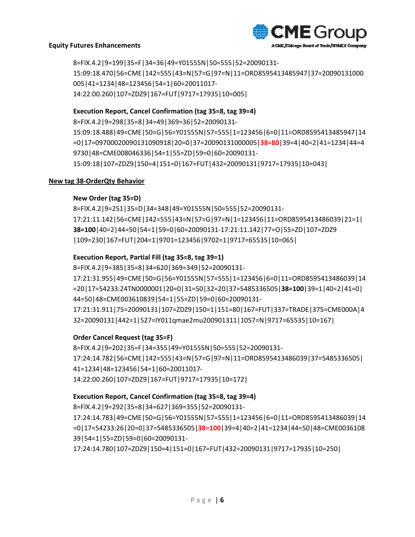

8=FIX.4.2|9=199|35=F|34=36|49=Y01555N|50=555|52=20090131‐ 15:09:18.470|56=CME|142=555|43=N|57=G|97=N|11=ORD8595413485947|37=20090131000 005|41=1234|48=123456|54=1|60=20011017‐ 14:22:00.260|107=ZDZ9|167=FUT|9717=17935|10=005|

#### **Execution Report, Cancel Confirmation (tag 35=8, tag 39=4)**

8=FIX.4.2|9=298|35=8|34=49|369=36|52=20090131‐

15:09:18.488|49=CME|50=G|56=Y01555N|57=555|1=123456|6=0|11=ORD8595413485947|14 =0|17=09700020090131090918|20=0|37=20090131000005|**38=80**|39=4|40=2|41=1234|44=4 9730|48=CME008046336|54=1|55=ZD|59=0|60=20090131‐ 15:09:18|107=ZDZ9|150=4|151=0|167=FUT|432=20090131|9717=17935|10=043|

#### **New tag 38‐OrderQty Behavior**

#### **New Order (tag 35=D)**

8=FIX.4.2|9=251|35=D|34=348|49=Y01555N|50=555|52=20090131‐ 17:21:11.142|56=CME|142=555|43=N|57=G|97=N|1=123456|11=ORD8595413486039|21=1| **38=100**|40=2|44=50|54=1|59=0|60=20090131‐17:21:11.142|77=O|55=ZD|107=ZDZ9 |109=230|167=FUT|204=1|9701=123456|9702=1|9717=65535|10=065|

#### **Execution Report, Partial Fill (tag 35=8, tag 39=1)**

8=FIX.4.2|9=385|35=8|34=620|369=349|52=20090131‐ 17:21:31.955|49=CME|50=G|56=Y01555N|57=555|1=123456|6=0|11=ORD8595413486039|14 =20|17=54233:24TN0000001|20=0|31=50|32=20|37=5485336505|**38=100**|39=1|40=2|41=0| 44=50|48=CME003610839|54=1|55=ZD|59=0|60=20090131‐ 17:21:31.911|75=20090131|107=ZDZ9|150=1|151=80|167=FUT|337=TRADE|375=CME000A|4 32=20090131|442=1|527=IY011qmae2mu200901311|1057=N|9717=65535|10=167|

#### **Order Cancel Request (tag 35=F)**

8=FIX.4.2|9=202|35=F|34=355|49=Y01555N|50=555|52=20090131‐ 17:24:14.782|56=CME|142=555|43=N|57=G|97=N|11=ORD8595413486039|37=5485336505| 41=1234|48=123456|54=1|60=20011017‐ 14:22:00.260|107=ZDZ9|167=FUT|9717=17935|10=172|

#### **Execution Report, Cancel Confirmation (tag 35=8, tag 39=4)**

8=FIX.4.2|9=292|35=8|34=627|369=355|52=20090131‐

17:24:14.783|49=CME|50=G|56=Y01555N|57=555|1=123456|6=0|11=ORD8595413486039|14 =0|17=54233:26|20=0|37=5485336505|**38=100**|39=4|40=2|41=1234|44=50|48=CME0036108 39|54=1|55=ZD|59=0|60=20090131‐

17:24:14.780|107=ZDZ9|150=4|151=0|167=FUT|432=20090131|9717=17935|10=250|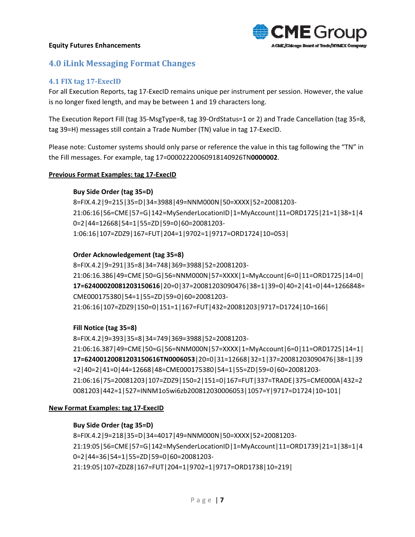

## **4.0 iLink Messaging Format Changes**

#### **4.1 FIX tag 17ExecID**

For all Execution Reports, tag 17‐ExecID remains unique per instrument per session. However, the value is no longer fixed length, and may be between 1 and 19 characters long.

The Execution Report Fill (tag 35‐MsgType=8, tag 39‐OrdStatus=1 or 2) and Trade Cancellation (tag 35=8, tag 39=H) messages still contain a Trade Number (TN) value in tag 17‐ExecID.

Please note: Customer systems should only parse or reference the value in this tag following the "TN" in the Fill messages. For example, tag 17=00002220060918140926TN**0000002**.

#### **Previous Format Examples: tag 17‐ExecID**

#### **Buy Side Order (tag 35=D)**

8=FIX.4.2|9=215|35=D|34=3988|49=NNM000N|50=XXXX|52=20081203‐ 21:06:16|56=CME|57=G|142=MySenderLocationID|1=MyAccount|11=ORD1725|21=1|38=1|4 0=2|44=12668|54=1|55=ZD|59=0|60=20081203‐ 1:06:16|107=ZDZ9|167=FUT|204=1|9702=1|9717=ORD1724|10=053|

#### **Order Acknowledgement (tag 35=8)**

8=FIX.4.2|9=291|35=8|34=748|369=3988|52=20081203‐ 21:06:16.386|49=CME|50=G|56=NNM000N|57=XXXX|1=MyAccount|6=0|11=ORD1725|14=0| **17=62400020081203150616**|20=0|37=20081203090476|38=1|39=0|40=2|41=0|44=1266848= CME000175380|54=1|55=ZD|59=0|60=20081203‐ 21:06:16|107=ZDZ9|150=0|151=1|167=FUT|432=20081203|9717=D1724|10=166|

#### **Fill Notice (tag 35=8)**

8=FIX.4.2|9=393|35=8|34=749|369=3988|52=20081203‐ 21:06:16.387|49=CME|50=G|56=NNM000N|57=XXXX|1=MyAccount|6=0|11=ORD1725|14=1| **17=62400120081203150616TN0006053**|20=0|31=12668|32=1|37=20081203090476|38=1|39 =2|40=2|41=0|44=12668|48=CME000175380|54=1|55=ZD|59=0|60=20081203‐ 21:06:16|75=20081203|107=ZDZ9|150=2|151=0|167=FUT|337=TRADE|375=CME000A|432=2 0081203|442=1|527=INNM1o5wi6zb200812030006053|1057=Y|9717=D1724|10=101|

#### **New Format Examples: tag 17‐ExecID**

#### **Buy Side Order (tag 35=D)**

8=FIX.4.2|9=218|35=D|34=4017|49=NNM000N|50=XXXX|52=20081203‐ 21:19:05|56=CME|57=G|142=MySenderLocationID|1=MyAccount|11=ORD1739|21=1|38=1|4 0=2|44=36|54=1|55=ZD|59=0|60=20081203‐ 21:19:05|107=ZDZ8|167=FUT|204=1|9702=1|9717=ORD1738|10=219|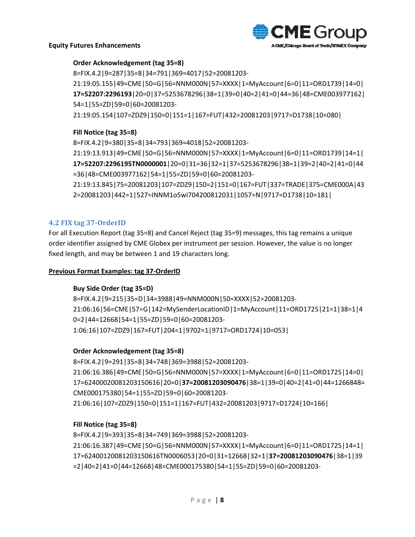

#### **Order Acknowledgement (tag 35=8)**

8=FIX.4.2|9=287|35=8|34=791|369=4017|52=20081203‐ 21:19:05.155|49=CME|50=G|56=NNM000N|57=XXXX|1=MyAccount|6=0|11=ORD1739|14=0| **17=52207:2296193**|20=0|37=5253678296|38=1|39=0|40=2|41=0|44=36|48=CME003977162| 54=1|55=ZD|59=0|60=20081203‐ 21:19:05.154|107=ZDZ9|150=0|151=1|167=FUT|432=20081203|9717=D1738|10=080|

#### **Fill Notice (tag 35=8)**

8=FIX.4.2|9=380|35=8|34=793|369=4018|52=20081203‐ 21:19:13.913|49=CME|50=G|56=NNM000N|57=XXXX|1=MyAccount|6=0|11=ORD1739|14=1| **17=52207:2296195TN0000001**|20=0|31=36|32=1|37=5253678296|38=1|39=2|40=2|41=0|44 =36|48=CME003977162|54=1|55=ZD|59=0|60=20081203‐ 21:19:13.845|75=20081203|107=ZDZ9|150=2|151=0|167=FUT|337=TRADE|375=CME000A|43 2=20081203|442=1|527=INNM1o5wi704200812031|1057=N|9717=D1738|10=181|

#### **4.2 FIX tag 37OrderID**

For all Execution Report (tag 35=8) and Cancel Reject (tag 35=9) messages, this tag remains a unique order identifier assigned by CME Globex per instrument per session. However, the value is no longer fixed length, and may be between 1 and 19 characters long.

#### **Previous Format Examples: tag 37‐OrderID**

#### **Buy Side Order (tag 35=D)**

8=FIX.4.2|9=215|35=D|34=3988|49=NNM000N|50=XXXX|52=20081203‐ 21:06:16|56=CME|57=G|142=MySenderLocationID|1=MyAccount|11=ORD1725|21=1|38=1|4 0=2|44=12668|54=1|55=ZD|59=0|60=20081203‐ 1:06:16|107=ZDZ9|167=FUT|204=1|9702=1|9717=ORD1724|10=053|

#### **Order Acknowledgement (tag 35=8)**

8=FIX.4.2|9=291|35=8|34=748|369=3988|52=20081203‐ 21:06:16.386|49=CME|50=G|56=NNM000N|57=XXXX|1=MyAccount|6=0|11=ORD1725|14=0| 17=62400020081203150616|20=0|**37=20081203090476**|38=1|39=0|40=2|41=0|44=1266848= CME000175380|54=1|55=ZD|59=0|60=20081203‐ 21:06:16|107=ZDZ9|150=0|151=1|167=FUT|432=20081203|9717=D1724|10=166|

#### **Fill Notice (tag 35=8)**

8=FIX.4.2|9=393|35=8|34=749|369=3988|52=20081203‐ 21:06:16.387|49=CME|50=G|56=NNM000N|57=XXXX|1=MyAccount|6=0|11=ORD1725|14=1| 17=62400120081203150616TN0006053|20=0|31=12668|32=1|**37=20081203090476**|38=1|39 =2|40=2|41=0|44=12668|48=CME000175380|54=1|55=ZD|59=0|60=20081203‐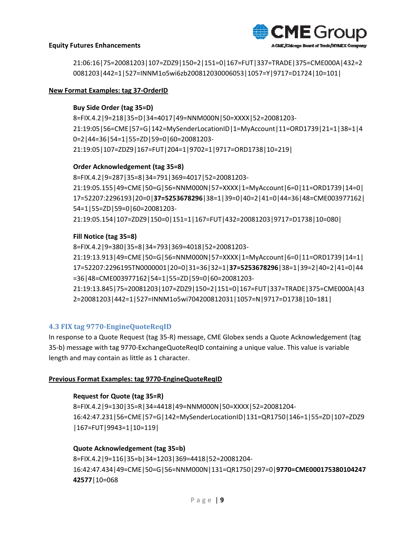

21:06:16|75=20081203|107=ZDZ9|150=2|151=0|167=FUT|337=TRADE|375=CME000A|432=2 0081203|442=1|527=INNM1o5wi6zb200812030006053|1057=Y|9717=D1724|10=101|

#### **New Format Examples: tag 37‐OrderID**

#### **Buy Side Order (tag 35=D)**

8=FIX.4.2|9=218|35=D|34=4017|49=NNM000N|50=XXXX|52=20081203‐ 21:19:05|56=CME|57=G|142=MySenderLocationID|1=MyAccount|11=ORD1739|21=1|38=1|4 0=2|44=36|54=1|55=ZD|59=0|60=20081203‐ 21:19:05|107=ZDZ9|167=FUT|204=1|9702=1|9717=ORD1738|10=219|

#### **Order Acknowledgement (tag 35=8)**

8=FIX.4.2|9=287|35=8|34=791|369=4017|52=20081203‐ 21:19:05.155|49=CME|50=G|56=NNM000N|57=XXXX|1=MyAccount|6=0|11=ORD1739|14=0| 17=52207:2296193|20=0|**37=5253678296**|38=1|39=0|40=2|41=0|44=36|48=CME003977162| 54=1|55=ZD|59=0|60=20081203‐ 21:19:05.154|107=ZDZ9|150=0|151=1|167=FUT|432=20081203|9717=D1738|10=080|

#### **Fill Notice (tag 35=8)**

8=FIX.4.2|9=380|35=8|34=793|369=4018|52=20081203‐ 21:19:13.913|49=CME|50=G|56=NNM000N|57=XXXX|1=MyAccount|6=0|11=ORD1739|14=1| 17=52207:2296195TN0000001|20=0|31=36|32=1|**37=5253678296**|38=1|39=2|40=2|41=0|44 =36|48=CME003977162|54=1|55=ZD|59=0|60=20081203‐ 21:19:13.845|75=20081203|107=ZDZ9|150=2|151=0|167=FUT|337=TRADE|375=CME000A|43 2=20081203|442=1|527=INNM1o5wi704200812031|1057=N|9717=D1738|10=181|

#### **4.3 FIX tag 9770EngineQuoteReqID**

In response to a Quote Request (tag 35‐R) message, CME Globex sends a Quote Acknowledgement (tag 35‐b) message with tag 9770‐ExchangeQuoteReqID containing a unique value. This value is variable length and may contain as little as 1 character.

#### **Previous Format Examples: tag 9770‐EngineQuoteReqID**

#### **Request for Quote (tag 35=R)**

8=FIX.4.2|9=130|35=R|34=4418|49=NNM000N|50=XXXX|52=20081204‐ 16:42:47.231|56=CME|57=G|142=MySenderLocationID|131=QR1750|146=1|55=ZD|107=ZDZ9 |167=FUT|9943=1|10=119|

#### **Quote Acknowledgement (tag 35=b)**

8=FIX.4.2|9=116|35=b|34=1203|369=4418|52=20081204‐ 16:42:47.434|49=CME|50=G|56=NNM000N|131=QR1750|297=0|**9770=CME000175380104247 42577**|10=068